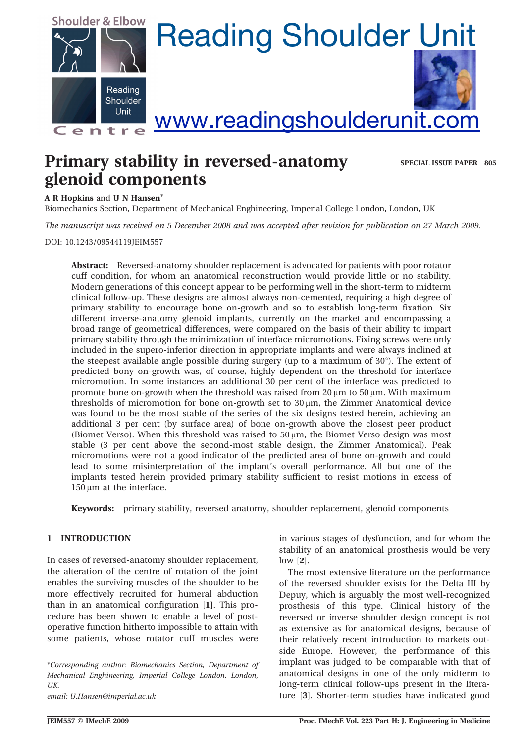

# Primary stability in reversed-anatomy glenoid components

SPECIAL ISSUE PAPER 805

A R Hopkins and U N Hansen\*

Biomechanics Section, Department of Mechanical Enghineering, Imperial College London, London, UK

The manuscript was received on 5 December 2008 and was accepted after revision for publication on 27 March 2009.

DOI: 10.1243/09544119JEIM557

Abstract: Reversed-anatomy shoulder replacement is advocated for patients with poor rotator cuff condition, for whom an anatomical reconstruction would provide little or no stability. Modern generations of this concept appear to be performing well in the short-term to midterm clinical follow-up. These designs are almost always non-cemented, requiring a high degree of primary stability to encourage bone on-growth and so to establish long-term fixation. Six different inverse-anatomy glenoid implants, currently on the market and encompassing a broad range of geometrical differences, were compared on the basis of their ability to impart primary stability through the minimization of interface micromotions. Fixing screws were only included in the supero-inferior direction in appropriate implants and were always inclined at the steepest available angle possible during surgery (up to a maximum of 30<sup>°</sup>). The extent of predicted bony on-growth was, of course, highly dependent on the threshold for interface micromotion. In some instances an additional 30 per cent of the interface was predicted to promote bone on-growth when the threshold was raised from  $20 \mu m$  to  $50 \mu m$ . With maximum thresholds of micromotion for bone on-growth set to 30 mm, the Zimmer Anatomical device was found to be the most stable of the series of the six designs tested herein, achieving an additional 3 per cent (by surface area) of bone on-growth above the closest peer product (Biomet Verso). When this threshold was raised to  $50 \mu m$ , the Biomet Verso design was most stable (3 per cent above the second-most stable design, the Zimmer Anatomical). Peak micromotions were not a good indicator of the predicted area of bone on-growth and could lead to some misinterpretation of the implant's overall performance. All but one of the implants tested herein provided primary stability sufficient to resist motions in excess of  $150 \,\mu m$  at the interface.

Keywords: primary stability, reversed anatomy, shoulder replacement, glenoid components

## 1 INTRODUCTION

In cases of reversed-anatomy shoulder replacement, the alteration of the centre of rotation of the joint enables the surviving muscles of the shoulder to be more effectively recruited for humeral abduction than in an anatomical configuration [1]. This procedure has been shown to enable a level of postoperative function hitherto impossible to attain with some patients, whose rotator cuff muscles were

email: U.Hansen@imperial.ac.uk

in various stages of dysfunction, and for whom the stability of an anatomical prosthesis would be very low [2].

The most extensive literature on the performance of the reversed shoulder exists for the Delta III by Depuy, which is arguably the most well-recognized prosthesis of this type. Clinical history of the reversed or inverse shoulder design concept is not as extensive as for anatomical designs, because of their relatively recent introduction to markets outside Europe. However, the performance of this implant was judged to be comparable with that of anatomical designs in one of the only midterm to long-term clinical follow-ups present in the literature [3]. Shorter-term studies have indicated good

<sup>\*</sup>Corresponding author: Biomechanics Section, Department of Mechanical Enghineering, Imperial College London, London, UK.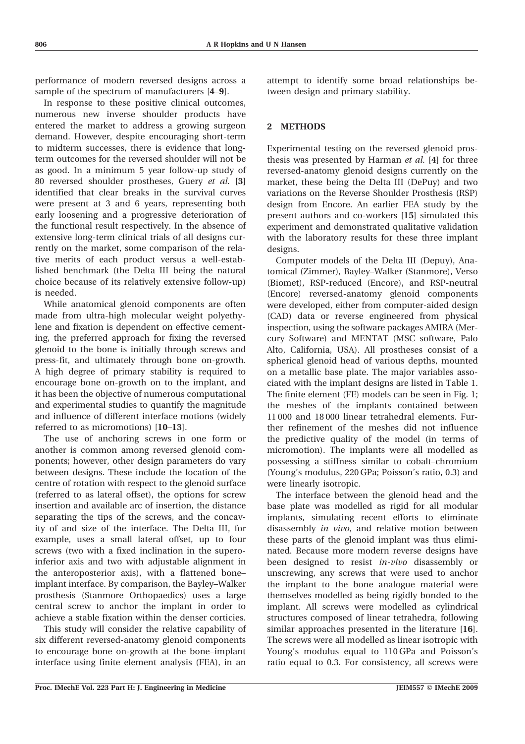performance of modern reversed designs across a sample of the spectrum of manufacturers [4–9].

In response to these positive clinical outcomes, numerous new inverse shoulder products have entered the market to address a growing surgeon demand. However, despite encouraging short-term to midterm successes, there is evidence that longterm outcomes for the reversed shoulder will not be as good. In a minimum 5 year follow-up study of 80 reversed shoulder prostheses, Guery et al. [3] identified that clear breaks in the survival curves were present at 3 and 6 years, representing both early loosening and a progressive deterioration of the functional result respectively. In the absence of extensive long-term clinical trials of all designs currently on the market, some comparison of the relative merits of each product versus a well-established benchmark (the Delta III being the natural choice because of its relatively extensive follow-up) is needed.

While anatomical glenoid components are often made from ultra-high molecular weight polyethylene and fixation is dependent on effective cementing, the preferred approach for fixing the reversed glenoid to the bone is initially through screws and press-fit, and ultimately through bone on-growth. A high degree of primary stability is required to encourage bone on-growth on to the implant, and it has been the objective of numerous computational and experimental studies to quantify the magnitude and influence of different interface motions (widely referred to as micromotions) [10–13].

The use of anchoring screws in one form or another is common among reversed glenoid components; however, other design parameters do vary between designs. These include the location of the centre of rotation with respect to the glenoid surface (referred to as lateral offset), the options for screw insertion and available arc of insertion, the distance separating the tips of the screws, and the concavity of and size of the interface. The Delta III, for example, uses a small lateral offset, up to four screws (two with a fixed inclination in the superoinferior axis and two with adjustable alignment in the anteroposterior axis), with a flattened bone– implant interface. By comparison, the Bayley–Walker prosthesis (Stanmore Orthopaedics) uses a large central screw to anchor the implant in order to achieve a stable fixation within the denser corticies.

This study will consider the relative capability of six different reversed-anatomy glenoid components to encourage bone on-growth at the bone–implant interface using finite element analysis (FEA), in an attempt to identify some broad relationships between design and primary stability.

## 2 METHODS

Experimental testing on the reversed glenoid prosthesis was presented by Harman et al. [4] for three reversed-anatomy glenoid designs currently on the market, these being the Delta III (DePuy) and two variations on the Reverse Shoulder Prosthesis (RSP) design from Encore. An earlier FEA study by the present authors and co-workers [15] simulated this experiment and demonstrated qualitative validation with the laboratory results for these three implant designs.

Computer models of the Delta III (Depuy), Anatomical (Zimmer), Bayley–Walker (Stanmore), Verso (Biomet), RSP-reduced (Encore), and RSP-neutral (Encore) reversed-anatomy glenoid components were developed, either from computer-aided design (CAD) data or reverse engineered from physical inspection, using the software packages AMIRA (Mercury Software) and MENTAT (MSC software, Palo Alto, California, USA). All prostheses consist of a spherical glenoid head of various depths, mounted on a metallic base plate. The major variables associated with the implant designs are listed in Table 1. The finite element (FE) models can be seen in Fig. 1; the meshes of the implants contained between 11 000 and 18 000 linear tetrahedral elements. Further refinement of the meshes did not influence the predictive quality of the model (in terms of micromotion). The implants were all modelled as possessing a stiffness similar to cobalt–chromium (Young's modulus, 220 GPa; Poisson's ratio, 0.3) and were linearly isotropic.

The interface between the glenoid head and the base plate was modelled as rigid for all modular implants, simulating recent efforts to eliminate disassembly in vivo, and relative motion between these parts of the glenoid implant was thus eliminated. Because more modern reverse designs have been designed to resist *in-vivo* disassembly or unscrewing, any screws that were used to anchor the implant to the bone analogue material were themselves modelled as being rigidly bonded to the implant. All screws were modelled as cylindrical structures composed of linear tetrahedra, following similar approaches presented in the literature [16]. The screws were all modelled as linear isotropic with Young's modulus equal to 110 GPa and Poisson's ratio equal to 0.3. For consistency, all screws were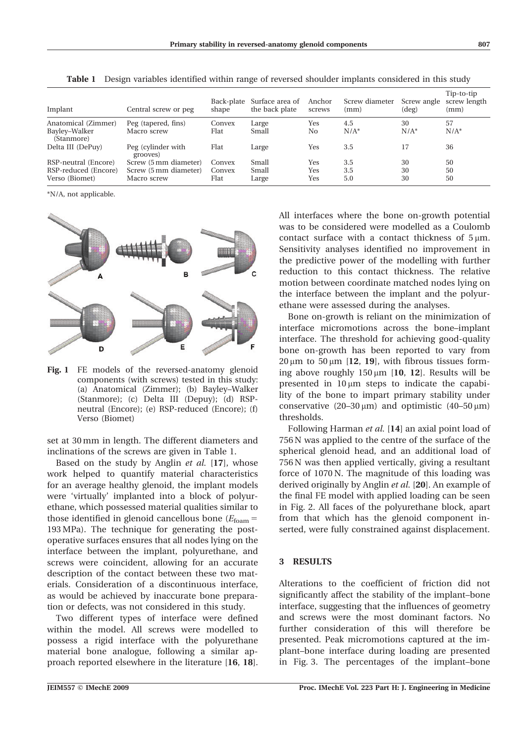| Implant                     | Central screw or peg           | Back-plate<br>shape | Surface area of<br>the back plate | Anchor<br>screws | Screw diameter<br>(mm) | Screw angle<br>$(\deg)$ | Tip-to-tip<br>screw length<br>(mm) |
|-----------------------------|--------------------------------|---------------------|-----------------------------------|------------------|------------------------|-------------------------|------------------------------------|
| Anatomical (Zimmer)         | Peg (tapered, fins)            | Convex              | Large                             | Yes              | 4.5                    | 30                      | 57                                 |
| Bayley–Walker<br>(Stanmore) | Macro screw                    | Flat                | Small                             | No               | $N/A^*$                | $N/A^*$                 | $N/A^*$                            |
| Delta III (DePuy)           | Peg (cylinder with<br>grooves) | Flat                | Large                             | Yes              | 3.5                    | 17                      | 36                                 |
| RSP-neutral (Encore)        | Screw (5 mm diameter)          | Convex              | Small                             | Yes              | 3.5                    | 30                      | 50                                 |
| RSP-reduced (Encore)        | Screw (5 mm diameter)          | Convex              | Small                             | Yes              | 3.5                    | 30                      | 50                                 |
| Verso (Biomet)              | Macro screw                    | Flat                | Large                             | Yes              | 5.0                    | 30                      | 50                                 |

Table 1 Design variables identified within range of reversed shoulder implants considered in this study

\*N/A, not applicable.



Fig. 1 FE models of the reversed-anatomy glenoid components (with screws) tested in this study: (a) Anatomical (Zimmer); (b) Bayley–Walker (Stanmore); (c) Delta III (Depuy); (d) RSPneutral (Encore); (e) RSP-reduced (Encore); (f) Verso (Biomet)

set at 30 mm in length. The different diameters and inclinations of the screws are given in Table 1.

Based on the study by Anglin et al. [17], whose work helped to quantify material characteristics for an average healthy glenoid, the implant models were 'virtually' implanted into a block of polyurethane, which possessed material qualities similar to those identified in glenoid cancellous bone  $(E_{\text{foam}} =$ 193 MPa). The technique for generating the postoperative surfaces ensures that all nodes lying on the interface between the implant, polyurethane, and screws were coincident, allowing for an accurate description of the contact between these two materials. Consideration of a discontinuous interface, as would be achieved by inaccurate bone preparation or defects, was not considered in this study.

Two different types of interface were defined within the model. All screws were modelled to possess a rigid interface with the polyurethane material bone analogue, following a similar approach reported elsewhere in the literature [16, 18]. All interfaces where the bone on-growth potential was to be considered were modelled as a Coulomb contact surface with a contact thickness of  $5 \text{ µm}$ . Sensitivity analyses identified no improvement in the predictive power of the modelling with further reduction to this contact thickness. The relative motion between coordinate matched nodes lying on the interface between the implant and the polyurethane were assessed during the analyses.

Bone on-growth is reliant on the minimization of interface micromotions across the bone–implant interface. The threshold for achieving good-quality bone on-growth has been reported to vary from  $20 \,\mu m$  to  $50 \,\mu m$  [12, 19], with fibrous tissues forming above roughly  $150 \mu m$  [10, 12]. Results will be presented in  $10 \mu m$  steps to indicate the capability of the bone to impart primary stability under conservative  $(20-30 \,\mu m)$  and optimistic  $(40-50 \,\mu m)$ thresholds.

Following Harman et al. [14] an axial point load of 756 N was applied to the centre of the surface of the spherical glenoid head, and an additional load of 756 N was then applied vertically, giving a resultant force of 1070 N. The magnitude of this loading was derived originally by Anglin et al. [20]. An example of the final FE model with applied loading can be seen in Fig. 2. All faces of the polyurethane block, apart from that which has the glenoid component inserted, were fully constrained against displacement.

## 3 RESULTS

Alterations to the coefficient of friction did not significantly affect the stability of the implant–bone interface, suggesting that the influences of geometry and screws were the most dominant factors. No further consideration of this will therefore be presented. Peak micromotions captured at the implant–bone interface during loading are presented in Fig. 3. The percentages of the implant–bone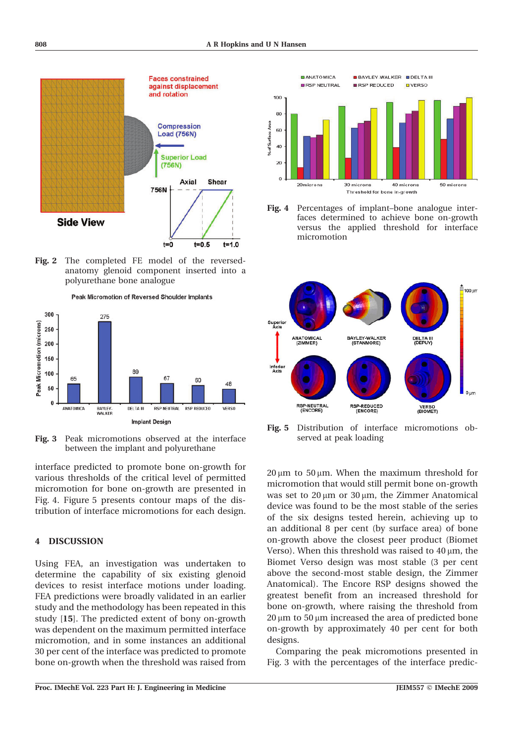

Fig. 2 The completed FE model of the reversedanatomy glenoid component inserted into a polyurethane bone analogue



Fig. 3 Peak micromotions observed at the interface between the implant and polyurethane

interface predicted to promote bone on-growth for various thresholds of the critical level of permitted micromotion for bone on-growth are presented in Fig. 4. Figure 5 presents contour maps of the distribution of interface micromotions for each design.

# 4 DISCUSSION

Using FEA, an investigation was undertaken to determine the capability of six existing glenoid devices to resist interface motions under loading. FEA predictions were broadly validated in an earlier study and the methodology has been repeated in this study [15]. The predicted extent of bony on-growth was dependent on the maximum permitted interface micromotion, and in some instances an additional 30 per cent of the interface was predicted to promote bone on-growth when the threshold was raised from





Fig. 4 Percentages of implant–bone analogue interfaces determined to achieve bone on-growth versus the applied threshold for interface micromotion



Fig. 5 Distribution of interface micromotions observed at peak loading

 $20 \mu m$  to  $50 \mu m$ . When the maximum threshold for micromotion that would still permit bone on-growth was set to  $20 \mu m$  or  $30 \mu m$ , the Zimmer Anatomical device was found to be the most stable of the series of the six designs tested herein, achieving up to an additional 8 per cent (by surface area) of bone on-growth above the closest peer product (Biomet Verso). When this threshold was raised to  $40 \mu m$ , the Biomet Verso design was most stable (3 per cent above the second-most stable design, the Zimmer Anatomical). The Encore RSP designs showed the greatest benefit from an increased threshold for bone on-growth, where raising the threshold from  $20 \mu m$  to  $50 \mu m$  increased the area of predicted bone on-growth by approximately 40 per cent for both designs.

Comparing the peak micromotions presented in Fig. 3 with the percentages of the interface predic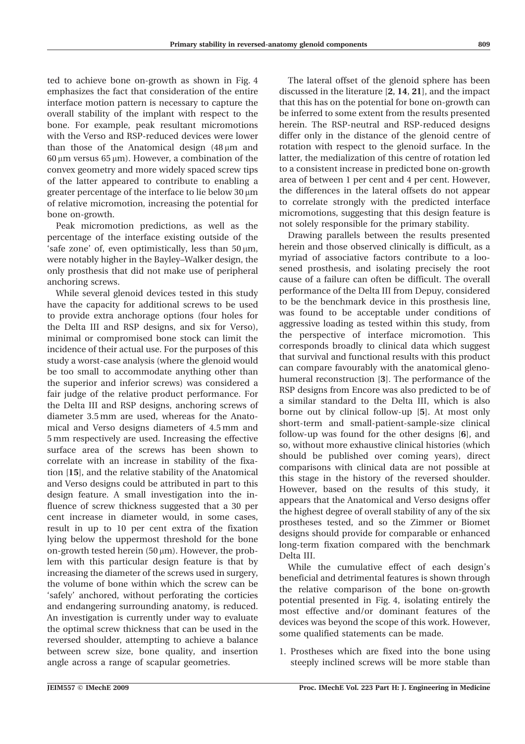ted to achieve bone on-growth as shown in Fig. 4 emphasizes the fact that consideration of the entire interface motion pattern is necessary to capture the overall stability of the implant with respect to the bone. For example, peak resultant micromotions with the Verso and RSP-reduced devices were lower than those of the Anatomical design  $(48 \mu m)$  and  $60 \mu m$  versus  $65 \mu m$ ). However, a combination of the convex geometry and more widely spaced screw tips of the latter appeared to contribute to enabling a greater percentage of the interface to lie below  $30 \mu m$ of relative micromotion, increasing the potential for bone on-growth.

Peak micromotion predictions, as well as the percentage of the interface existing outside of the 'safe zone' of, even optimistically, less than  $50 \mu m$ , were notably higher in the Bayley–Walker design, the only prosthesis that did not make use of peripheral anchoring screws.

While several glenoid devices tested in this study have the capacity for additional screws to be used to provide extra anchorage options (four holes for the Delta III and RSP designs, and six for Verso), minimal or compromised bone stock can limit the incidence of their actual use. For the purposes of this study a worst-case analysis (where the glenoid would be too small to accommodate anything other than the superior and inferior screws) was considered a fair judge of the relative product performance. For the Delta III and RSP designs, anchoring screws of diameter 3.5 mm are used, whereas for the Anatomical and Verso designs diameters of 4.5 mm and 5 mm respectively are used. Increasing the effective surface area of the screws has been shown to correlate with an increase in stability of the fixation [15], and the relative stability of the Anatomical and Verso designs could be attributed in part to this design feature. A small investigation into the influence of screw thickness suggested that a 30 per cent increase in diameter would, in some cases, result in up to 10 per cent extra of the fixation lying below the uppermost threshold for the bone on-growth tested herein  $(50 \,\mu m)$ . However, the problem with this particular design feature is that by increasing the diameter of the screws used in surgery, the volume of bone within which the screw can be 'safely' anchored, without perforating the corticies and endangering surrounding anatomy, is reduced. An investigation is currently under way to evaluate the optimal screw thickness that can be used in the reversed shoulder, attempting to achieve a balance between screw size, bone quality, and insertion angle across a range of scapular geometries.

The lateral offset of the glenoid sphere has been discussed in the literature [2, 14, 21], and the impact that this has on the potential for bone on-growth can be inferred to some extent from the results presented herein. The RSP-neutral and RSP-reduced designs differ only in the distance of the glenoid centre of rotation with respect to the glenoid surface. In the latter, the medialization of this centre of rotation led to a consistent increase in predicted bone on-growth area of between 1 per cent and 4 per cent. However, the differences in the lateral offsets do not appear to correlate strongly with the predicted interface micromotions, suggesting that this design feature is not solely responsible for the primary stability.

Drawing parallels between the results presented herein and those observed clinically is difficult, as a myriad of associative factors contribute to a loosened prosthesis, and isolating precisely the root cause of a failure can often be difficult. The overall performance of the Delta III from Depuy, considered to be the benchmark device in this prosthesis line, was found to be acceptable under conditions of aggressive loading as tested within this study, from the perspective of interface micromotion. This corresponds broadly to clinical data which suggest that survival and functional results with this product can compare favourably with the anatomical glenohumeral reconstruction [3]. The performance of the RSP designs from Encore was also predicted to be of a similar standard to the Delta III, which is also borne out by clinical follow-up [5]. At most only short-term and small-patient-sample-size clinical follow-up was found for the other designs [6], and so, without more exhaustive clinical histories (which should be published over coming years), direct comparisons with clinical data are not possible at this stage in the history of the reversed shoulder. However, based on the results of this study, it appears that the Anatomical and Verso designs offer the highest degree of overall stability of any of the six prostheses tested, and so the Zimmer or Biomet designs should provide for comparable or enhanced long-term fixation compared with the benchmark Delta III.

While the cumulative effect of each design's beneficial and detrimental features is shown through the relative comparison of the bone on-growth potential presented in Fig. 4, isolating entirely the most effective and/or dominant features of the devices was beyond the scope of this work. However, some qualified statements can be made.

1. Prostheses which are fixed into the bone using steeply inclined screws will be more stable than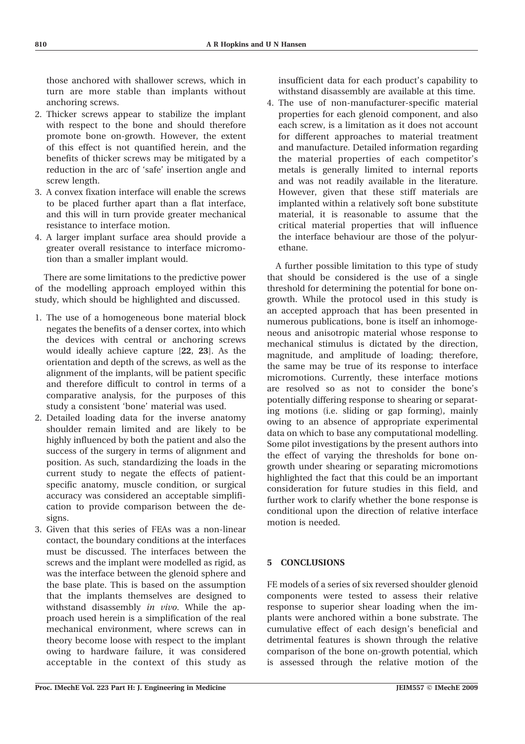those anchored with shallower screws, which in turn are more stable than implants without anchoring screws.

- 2. Thicker screws appear to stabilize the implant with respect to the bone and should therefore promote bone on-growth. However, the extent of this effect is not quantified herein, and the benefits of thicker screws may be mitigated by a reduction in the arc of 'safe' insertion angle and screw length.
- 3. A convex fixation interface will enable the screws to be placed further apart than a flat interface, and this will in turn provide greater mechanical resistance to interface motion.
- 4. A larger implant surface area should provide a greater overall resistance to interface micromotion than a smaller implant would.

There are some limitations to the predictive power of the modelling approach employed within this study, which should be highlighted and discussed.

- 1. The use of a homogeneous bone material block negates the benefits of a denser cortex, into which the devices with central or anchoring screws would ideally achieve capture [22, 23]. As the orientation and depth of the screws, as well as the alignment of the implants, will be patient specific and therefore difficult to control in terms of a comparative analysis, for the purposes of this study a consistent 'bone' material was used.
- 2. Detailed loading data for the inverse anatomy shoulder remain limited and are likely to be highly influenced by both the patient and also the success of the surgery in terms of alignment and position. As such, standardizing the loads in the current study to negate the effects of patientspecific anatomy, muscle condition, or surgical accuracy was considered an acceptable simplification to provide comparison between the designs.
- 3. Given that this series of FEAs was a non-linear contact, the boundary conditions at the interfaces must be discussed. The interfaces between the screws and the implant were modelled as rigid, as was the interface between the glenoid sphere and the base plate. This is based on the assumption that the implants themselves are designed to withstand disassembly in vivo. While the approach used herein is a simplification of the real mechanical environment, where screws can in theory become loose with respect to the implant owing to hardware failure, it was considered acceptable in the context of this study as

insufficient data for each product's capability to withstand disassembly are available at this time.

4. The use of non-manufacturer-specific material properties for each glenoid component, and also each screw, is a limitation as it does not account for different approaches to material treatment and manufacture. Detailed information regarding the material properties of each competitor's metals is generally limited to internal reports and was not readily available in the literature. However, given that these stiff materials are implanted within a relatively soft bone substitute material, it is reasonable to assume that the critical material properties that will influence the interface behaviour are those of the polyurethane.

A further possible limitation to this type of study that should be considered is the use of a single threshold for determining the potential for bone ongrowth. While the protocol used in this study is an accepted approach that has been presented in numerous publications, bone is itself an inhomogeneous and anisotropic material whose response to mechanical stimulus is dictated by the direction, magnitude, and amplitude of loading; therefore, the same may be true of its response to interface micromotions. Currently, these interface motions are resolved so as not to consider the bone's potentially differing response to shearing or separating motions (i.e. sliding or gap forming), mainly owing to an absence of appropriate experimental data on which to base any computational modelling. Some pilot investigations by the present authors into the effect of varying the thresholds for bone ongrowth under shearing or separating micromotions highlighted the fact that this could be an important consideration for future studies in this field, and further work to clarify whether the bone response is conditional upon the direction of relative interface motion is needed.

## 5 CONCLUSIONS

FE models of a series of six reversed shoulder glenoid components were tested to assess their relative response to superior shear loading when the implants were anchored within a bone substrate. The cumulative effect of each design's beneficial and detrimental features is shown through the relative comparison of the bone on-growth potential, which is assessed through the relative motion of the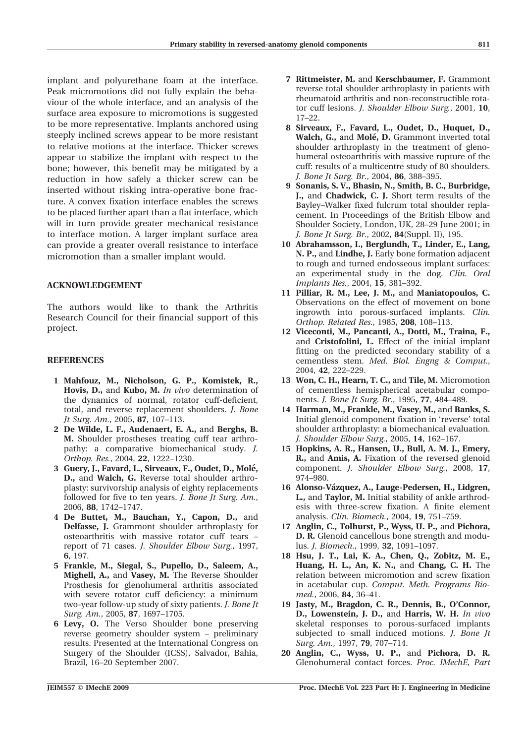implant and polyurethane foam at the interface. Peak micromotions did not fully explain the behaviour of the whole interface, and an analysis of the surface area exposure to micromotions is suggested to be more representative. Implants anchored using steeply inclined screws appear to be more resistant to relative motions at the interface. Thicker screws appear to stabilize the implant with respect to the bone; however, this benefit may be mitigated by a reduction in how safely a thicker screw can be inserted without risking intra-operative bone fracture. A convex fixation interface enables the screws to be placed further apart than a flat interface, which will in turn provide greater mechanical resistance to interface motion. A larger implant surface area can provide a greater overall resistance to interface micromotion than a smaller implant would.

## ACKNOWLEDGEMENT

The authors would like to thank the Arthritis Research Council for their financial support of this project.

## **REFERENCES**

- 1 Mahfouz, M., Nicholson, G. P., Komistek, R., Hovis, D., and Kubo, M. *In vivo* determination of the dynamics of normal, rotator cuff-deficient, total, and reverse replacement shoulders. J. Bone Jt Surg. Am., 2005, 87, 107–113.
- 2 De Wilde, L. F., Audenaert, E. A., and Berghs, B. M. Shoulder prostheses treating cuff tear arthropathy: a comparative biomechanical study. J. Orthop. Res., 2004, 22, 1222–1230.
- 3 Guery, J., Favard, L., Sirveaux, F., Oudet, D., Molé, D., and Walch, G. Reverse total shoulder arthroplasty: survivorship analysis of eighty replacements followed for five to ten years. J. Bone Jt Surg. Am., 2006, 88, 1742–1747.
- 4 De Buttet, M., Bauchan, Y., Capon, D., and Delfasse, J. Grammont shoulder arthroplasty for osteoarthritis with massive rotator cuff tears – report of 71 cases. J. Shoulder Elbow Surg., 1997, 6, 197.
- 5 Frankle, M., Siegal, S., Pupello, D., Saleem, A., Mighell, A., and Vasey, M. The Reverse Shoulder Prosthesis for glenohumeral arthritis associated with severe rotator cuff deficiency: a minimum two-year follow-up study of sixty patients. J. Bone Jt Surg. Am., 2005, 87, 1697–1705.
- 6 Levy, O. The Verso Shoulder bone preserving reverse geometry shoulder system – preliminary results. Presented at the International Congress on Surgery of the Shoulder (ICSS), Salvador, Bahia, Brazil, 16–20 September 2007.
- 7 Rittmeister, M. and Kerschbaumer, F. Grammont reverse total shoulder arthroplasty in patients with rheumatoid arthritis and non-reconstructible rotator cuff lesions. J. Shoulder Elbow Surg., 2001, 10, 17–22.
- 8 Sirveaux, F., Favard, L., Oudet, D., Huquet, D., Walch, G., and Molé, D. Grammont inverted total shoulder arthroplasty in the treatment of glenohumeral osteoarthritis with massive rupture of the cuff: results of a multicentre study of 80 shoulders. J. Bone Jt Surg. Br., 2004, 86, 388–395.
- 9 Sonanis, S. V., Bhasin, N., Smith, B. C., Burbridge, J., and Chadwick, C. J. Short term results of the Bayley–Walker fixed fulcrum total shoulder replacement. In Proceedings of the British Elbow and Shoulder Society, London, UK, 28–29 June 2001; in J. Bone Jt Surg. Br., 2002, 84(Suppl. II), 195.
- 10 Abrahamsson, I., Berglundh, T., Linder, E., Lang, N. P., and Lindhe, J. Early bone formation adjacent to rough and turned endosseous implant surfaces: an experimental study in the dog. Clin. Oral Implants Res., 2004, 15, 381–392.
- 11 Pilliar, R. M., Lee, J. M., and Maniatopoulos, C. Observations on the effect of movement on bone ingrowth into porous-surfaced implants. Clin. Orthop. Related Res., 1985, 208, 108–113.
- 12 Viceconti, M., Pancanti, A., Dotti, M., Traina, F., and Cristofolini, L. Effect of the initial implant fitting on the predicted secondary stability of a cementless stem. Med. Biol. Engng & Comput., 2004, 42, 222–229.
- 13 Won, C. H., Hearn, T. C., and Tile, M. Micromotion of cementless hemispherical acetabular components. J. Bone Jt Surg. Br., 1995, 77, 484–489.
- 14 Harman, M., Frankle, M., Vasey, M., and Banks, S. Initial glenoid component fixation in 'reverse' total shoulder arthroplasty: a biomechanical evaluation. J. Shoulder Elbow Surg., 2005, 14, 162–167.
- 15 Hopkins, A. R., Hansen, U., Bull, A. M. J., Emery, R., and Amis, A. Fixation of the reversed glenoid component. J. Shoulder Elbow Surg., 2008, 17, 974–980.
- 16 Alonso-Vázquez, A., Lauge-Pedersen, H., Lidgren, L., and Taylor, M. Initial stability of ankle arthrodesis with three-screw fixation. A finite element analysis. Clin. Biomech., 2004, 19, 751–759.
- 17 Anglin, C., Tolhurst, P., Wyss, U. P., and Pichora, D. R. Glenoid cancellous bone strength and modulus. J. Biomech., 1999, 32, 1091–1097.
- 18 Hsu, J. T., Lai, K. A., Chen, Q., Zobitz, M. E., Huang, H. L., An, K. N., and Chang, C. H. The relation between micromotion and screw fixation in acetabular cup. Comput. Meth. Programs Biomed., 2006, 84, 36–41.
- 19 Jasty, M., Bragdon, C. R., Dennis, B., O'Connor, D., Lowenstein, J. D., and Harris, W. H. In vivo skeletal responses to porous-surfaced implants subjected to small induced motions. *J. Bone Jt* Surg. Am., 1997, 79, 707–714.
- 20 Anglin, C., Wyss, U. P., and Pichora, D. R. Glenohumeral contact forces. Proc. IMechE, Part